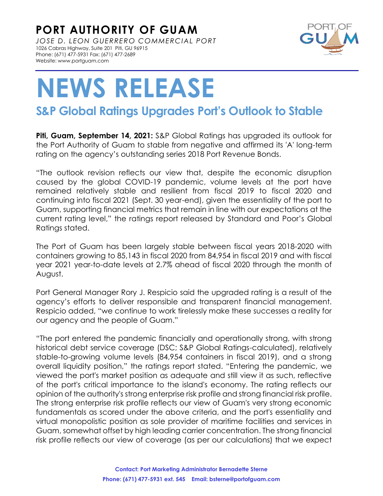**PORT AUTHORITY OF GUAM** *JOSE D. LEON GUERRERO COMMERCIAL PORT* 1026 Cabras Highway, Suite 201 Piti, GU 96915 Phone: (671) 477-5931 Fax: (671) 477-2689 Website: www.portguam.com



## **NEWS RELEASE**

## **S&P Global Ratings Upgrades Port's Outlook to Stable**

**Piti, Guam, September 14, 2021:** S&P Global Ratings has upgraded its outlook for the Port Authority of Guam to stable from negative and affirmed its 'A' long-term rating on the agency's outstanding series 2018 Port Revenue Bonds.

"The outlook revision reflects our view that, despite the economic disruption caused by the global COVID-19 pandemic, volume levels at the port have remained relatively stable and resilient from fiscal 2019 to fiscal 2020 and continuing into fiscal 2021 (Sept. 30 year-end), given the essentiality of the port to Guam, supporting financial metrics that remain in line with our expectations at the current rating level," the ratings report released by Standard and Poor's Global Ratings stated.

The Port of Guam has been largely stable between fiscal years 2018-2020 with containers growing to 85,143 in fiscal 2020 from 84,954 in fiscal 2019 and with fiscal year 2021 year-to-date levels at 2.7% ahead of fiscal 2020 through the month of August.

Port General Manager Rory J. Respicio said the upgraded rating is a result of the agency's efforts to deliver responsible and transparent financial management. Respicio added, "we continue to work tirelessly make these successes a reality for our agency and the people of Guam."

"The port entered the pandemic financially and operationally strong, with strong historical debt service coverage (DSC; S&P Global Ratings-calculated), relatively stable-to-growing volume levels (84,954 containers in fiscal 2019), and a strong overall liquidity position," the ratings report stated. "Entering the pandemic, we viewed the port's market position as adequate and still view it as such, reflective of the port's critical importance to the island's economy. The rating reflects our opinion of the authority's strong enterprise risk profile and strong financial risk profile. The strong enterprise risk profile reflects our view of Guam's very strong economic fundamentals as scored under the above criteria, and the port's essentiality and virtual monopolistic position as sole provider of maritime facilities and services in Guam, somewhat offset by high leading carrier concentration. The strong financial risk profile reflects our view of coverage (as per our calculations) that we expect